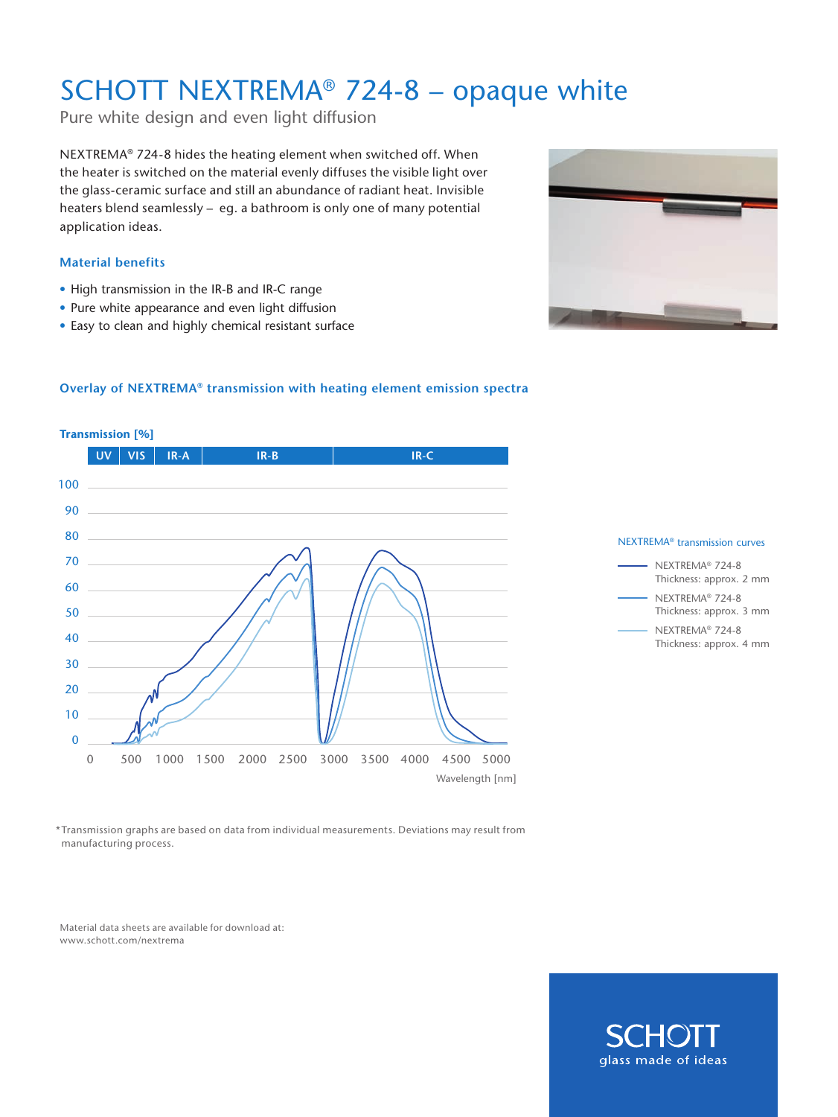## SCHOTT NEXTREMA® 724-8 – opaque white

Pure white design and even light diffusion

NEXTREMA® 724-8 hides the heating element when switched off. When the heater is switched on the material evenly diffuses the visible light over the glass-ceramic surface and still an abundance of radiant heat. Invisible heaters blend seamlessly – eg. a bathroom is only one of many potential application ideas.

### **Material benefits**

- High transmission in the IR-B and IR-C range
- Pure white appearance and even light diffusion
- Easy to clean and highly chemical resistant surface



### **Overlay of NEXTREMA® transmission with heating element emission spectra**







\*Transmission graphs are based on data from individual measurements. Deviations may result from manufacturing process.

Material data sheets are available for download at: www.schott.com/nextrema